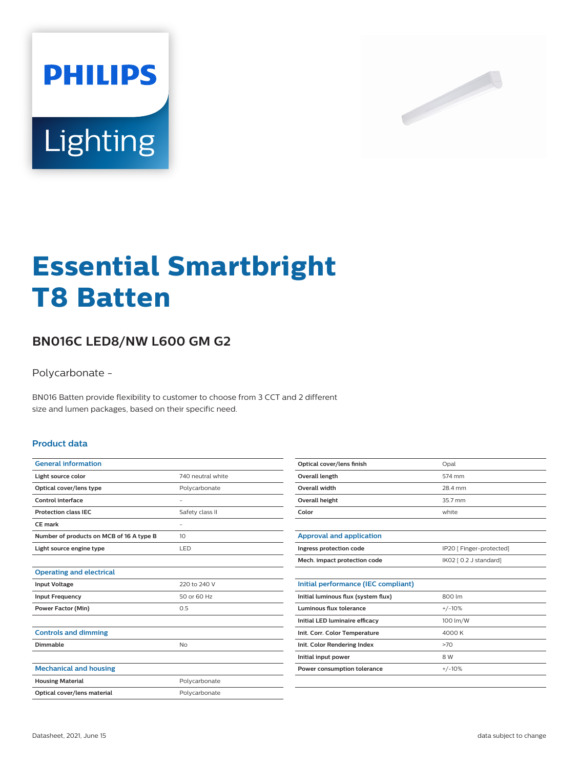



# **Essential Smartbright T8 Batten**

## **BN016C LED8/NW L600 GM G2**

Polycarbonate -

BN016 Batten provide flexibility to customer to choose from 3 CCT and 2 different size and lumen packages, based on their specific need.

#### **Product data**

| <b>General information</b>               |                   |
|------------------------------------------|-------------------|
| Light source color                       | 740 neutral white |
| Optical cover/lens type                  | Polycarbonate     |
| Control interface                        |                   |
| <b>Protection class IEC</b>              | Safety class II   |
| CF mark                                  | ٠                 |
| Number of products on MCB of 16 A type B | 10                |
| Light source engine type                 | LED               |
|                                          |                   |
| <b>Operating and electrical</b>          |                   |
| <b>Input Voltage</b>                     | 220 to 240 V      |
| <b>Input Frequency</b>                   | 50 or 60 Hz       |
| <b>Power Factor (Min)</b>                | 0.5               |
|                                          |                   |
| <b>Controls and dimming</b>              |                   |
| Dimmable                                 | <b>No</b>         |
|                                          |                   |
| <b>Mechanical and housing</b>            |                   |
| <b>Housing Material</b>                  | Polycarbonate     |
| Optical cover/lens material              | Polycarbonate     |
|                                          |                   |

| Optical cover/lens finish | Opal    |
|---------------------------|---------|
| Overall length            | 574 mm  |
| Overall width             | 28.4 mm |
| Overall height            | 35.7 mm |
| Color                     | white   |

| Approval and application     |                          |
|------------------------------|--------------------------|
| Ingress protection code      | IP20 [ Finger-protected] |
| Mech. impact protection code | IK02 [ 0.2 J standard]   |

| Initial performance (IEC compliant) |          |
|-------------------------------------|----------|
| Initial luminous flux (system flux) | 800 lm   |
| Luminous flux tolerance             | $+/-10%$ |
| Initial LED luminaire efficacy      | 100 lm/W |
| Init. Corr. Color Temperature       | 4000 K   |
| Init. Color Rendering Index         | >70      |
| Initial input power                 | 8 W      |
| Power consumption tolerance         | $+/-10%$ |